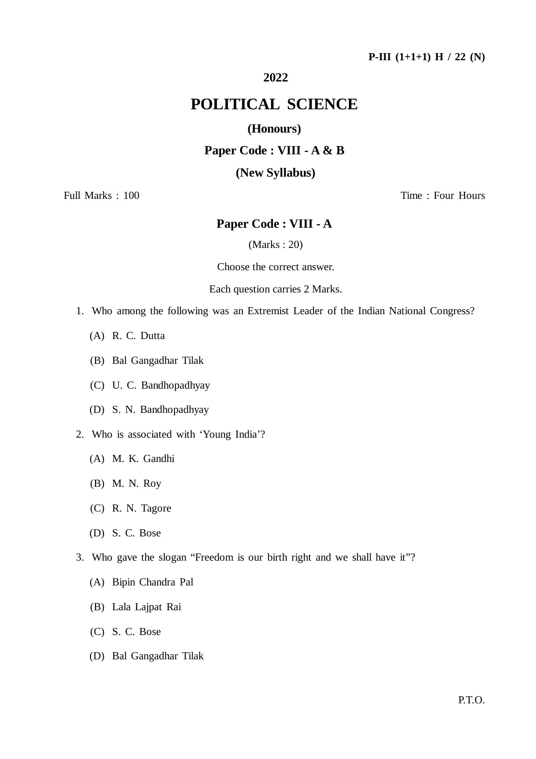## **P-III (1+1+1) H / 22 (N)**

## **2022**

## **POLITICAL SCIENCE**

## **(Honours)**

## **Paper Code : VIII - A & B**

### **(New Syllabus)**

Full Marks : 100 Time : Four Hours

## **Paper Code : VIII - A**

(Marks : 20)

Choose the correct answer.

#### Each question carries 2 Marks.

- 1. Who among the following was an Extremist Leader of the Indian National Congress?
	- (A) R. C. Dutta
	- (B) Bal Gangadhar Tilak
	- (C) U. C. Bandhopadhyay
	- (D) S. N. Bandhopadhyay
- 2. Who is associated with 'Young India'?
	- (A) M. K. Gandhi
	- (B) M. N. Roy
	- (C) R. N. Tagore
	- (D) S. C. Bose
- 3. Who gave the slogan "Freedom is our birth right and we shall have it"?
	- (A) Bipin Chandra Pal
	- (B) Lala Lajpat Rai
	- (C) S. C. Bose
	- (D) Bal Gangadhar Tilak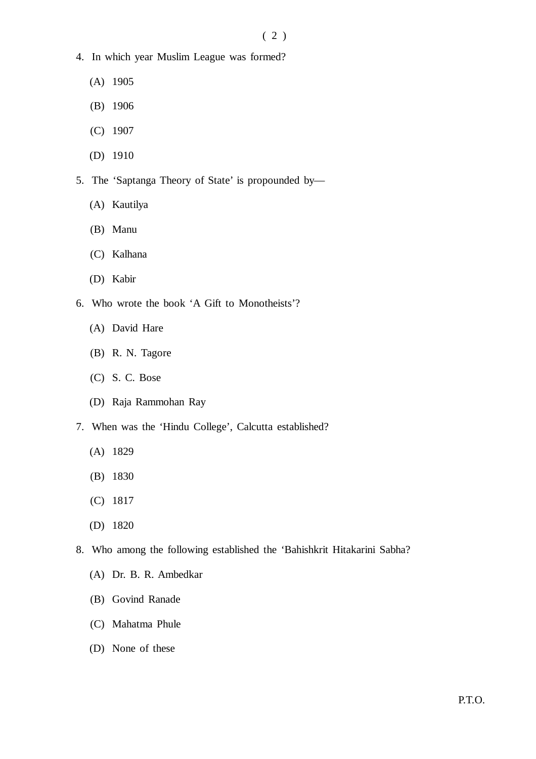$(2)$ 

- 4. In which year Muslim League was formed?
	- (A) 1905
	- (B) 1906
	- (C) 1907
	- (D) 1910
- 5. The 'Saptanga Theory of State' is propounded by—
	- (A) Kautilya
	- (B) Manu
	- (C) Kalhana
	- (D) Kabir
- 6. Who wrote the book 'A Gift to Monotheists'?
	- (A) David Hare
	- (B) R. N. Tagore
	- (C) S. C. Bose
	- (D) Raja Rammohan Ray
- 7. When was the 'Hindu College', Calcutta established?
	- (A) 1829
	- (B) 1830
	- (C) 1817
	- (D) 1820
- 8. Who among the following established the 'Bahishkrit Hitakarini Sabha?
	- (A) Dr. B. R. Ambedkar
	- (B) Govind Ranade
	- (C) Mahatma Phule
	- (D) None of these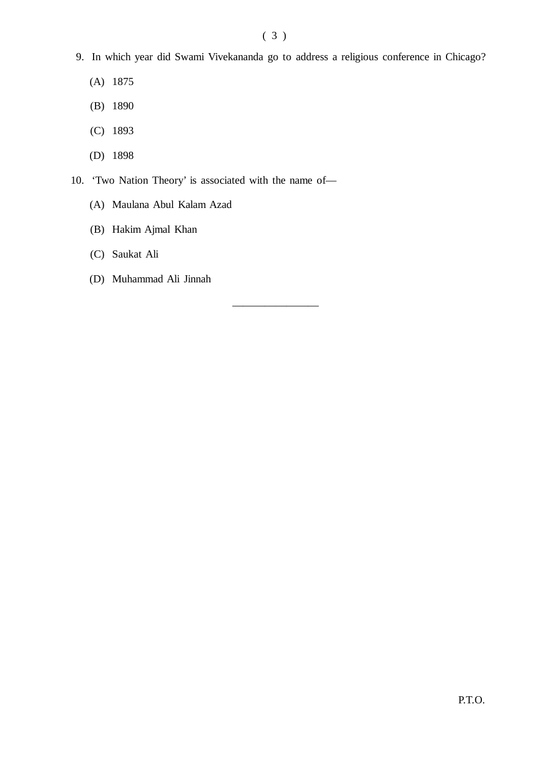————————

- 9. In which year did Swami Vivekananda go to address a religious conference in Chicago?
	- (A) 1875
	- (B) 1890
	- (C) 1893
	- (D) 1898
- 10. 'Two Nation Theory' is associated with the name of—
	- (A) Maulana Abul Kalam Azad
	- (B) Hakim Ajmal Khan
	- (C) Saukat Ali
	- (D) Muhammad Ali Jinnah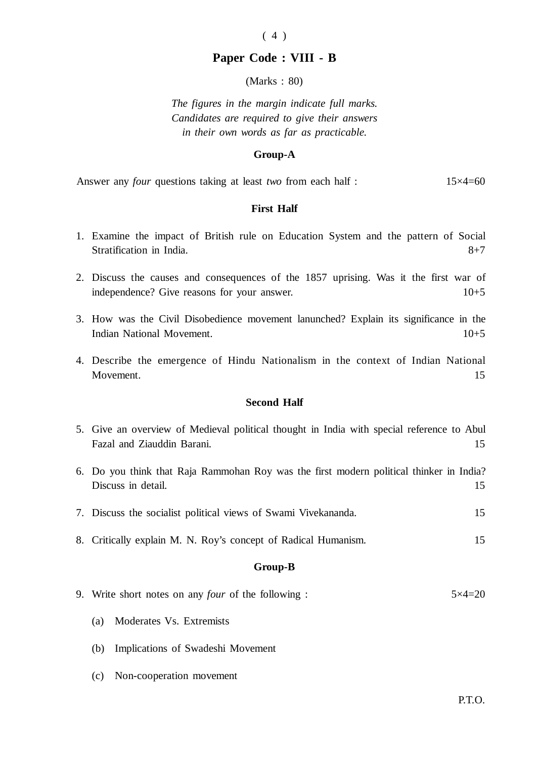# $(4)$

## **Paper Code : VIII - B**

(Marks : 80)

*The figures in the margin indicate full marks. Candidates are required to give their answers in their own words as far as practicable.*

#### **Group-A**

Answer any *four* questions taking at least *two* from each half : 15×4=60

#### **First Half**

- 1. Examine the impact of British rule on Education System and the pattern of Social Stratification in India.  $8+7$
- 2. Discuss the causes and consequences of the 1857 uprising. Was it the first war of independence? Give reasons for your answer.  $10+5$
- 3. How was the Civil Disobedience movement lanunched? Explain its significance in the Indian National Movement. 10+5
- 4. Describe the emergence of Hindu Nationalism in the context of Indian National Movement. 15

#### **Second Half**

- 5. Give an overview of Medieval political thought in India with special reference to Abul Fazal and Ziauddin Barani. 15
- 6. Do you think that Raja Rammohan Roy was the first modern political thinker in India? Discuss in detail. 15
- 7. Discuss the socialist political views of Swami Vivekananda. 15
- 8. Critically explain M. N. Roy's concept of Radical Humanism. 15

## **Group-B**

- 9. Write short notes on any *four* of the following : 5×4=20
	- (a) Moderates Vs. Extremists
	- (b) Implications of Swadeshi Movement
	- (c) Non-cooperation movement